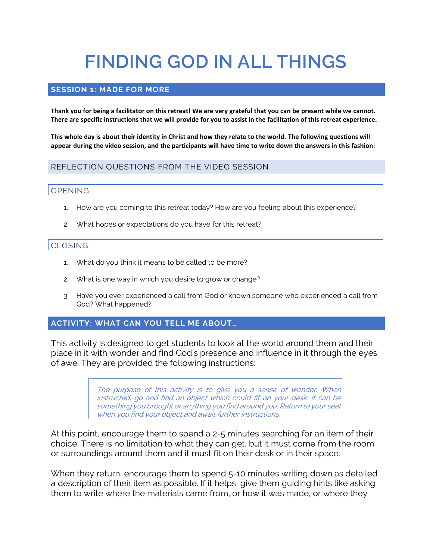# **FINDING GOD IN ALL THINGS**

## **SESSION 1: MADE FOR MORE**

**Thank you for being a facilitator on this retreat! We are very grateful that you can be present while we cannot. There are specific instructions that we will provide for you to assist in the facilitation of this retreat experience.**

**This whole day is about their identity in Christ and how they relate to the world. The following questions will appear during the video session, and the participants will have time to write down the answers in this fashion:**

## REFLECTION QUESTIONS FROM THE VIDEO SESSION

## OPENING

- 1. How are you coming to this retreat today? How are you feeling about this experience?
- 2. What hopes or expectations do you have for this retreat?

## CLOSING

- 1. What do you think it means to be called to be more?
- 2. What is one way in which you desire to grow or change?
- 3. Have you ever experienced a call from God or known someone who experienced a call from God? What happened?

## **ACTIVITY: WHAT CAN YOU TELL ME ABOUT…**

This activity is designed to get students to look at the world around them and their place in it with wonder and find God's presence and influence in it through the eyes of awe. They are provided the following instructions:

> The purpose of this activity is to give you a sense of wonder. When instructed, go and find an object which could fit on your desk. It can be something you brought or anything you find around you. Return to your seat when you find your object and await further instructions.

At this point, encourage them to spend a 2-5 minutes searching for an item of their choice. There is no limitation to what they can get, but it must come from the room or surroundings around them and it must fit on their desk or in their space.

When they return, encourage them to spend 5-10 minutes writing down as detailed a description of their item as possible. If it helps, give them guiding hints like asking them to write where the materials came from, or how it was made, or where they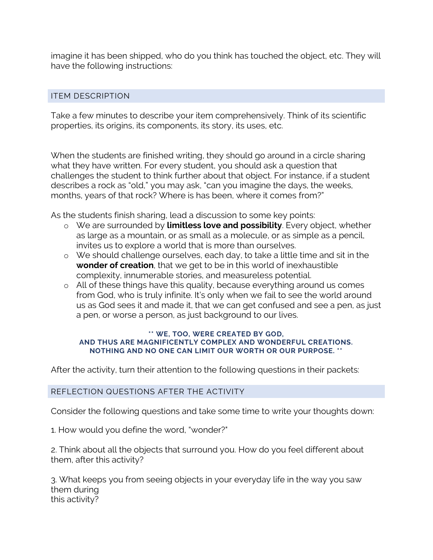imagine it has been shipped, who do you think has touched the object, etc. They will have the following instructions:

## ITEM DESCRIPTION

Take a few minutes to describe your item comprehensively. Think of its scientific properties, its origins, its components, its story, its uses, etc.

When the students are finished writing, they should go around in a circle sharing what they have written. For every student, you should ask a question that challenges the student to think further about that object. For instance, if a student describes a rock as "old," you may ask, "can you imagine the days, the weeks, months, years of that rock? Where is has been, where it comes from?"

As the students finish sharing, lead a discussion to some key points:

- o We are surrounded by **limitless love and possibility**. Every object, whether as large as a mountain, or as small as a molecule, or as simple as a pencil, invites us to explore a world that is more than ourselves.
- o We should challenge ourselves, each day, to take a little time and sit in the **wonder of creation**, that we get to be in this world of inexhaustible complexity, innumerable stories, and measureless potential.
- o All of these things have this quality, because everything around us comes from God, who is truly infinite. It's only when we fail to see the world around us as God sees it and made it, that we can get confused and see a pen, as just a pen, or worse a person, as just background to our lives.

#### **\*\* WE, TOO, WERE CREATED BY GOD, AND THUS ARE MAGNIFICENTLY COMPLEX AND WONDERFUL CREATIONS. NOTHING AND NO ONE CAN LIMIT OUR WORTH OR OUR PURPOSE. \*\***

After the activity, turn their attention to the following questions in their packets:

## REFLECTION QUESTIONS AFTER THE ACTIVITY

Consider the following questions and take some time to write your thoughts down:

1. How would you define the word, "wonder?"

2. Think about all the objects that surround you. How do you feel different about them, after this activity?

3. What keeps you from seeing objects in your everyday life in the way you saw them during this activity?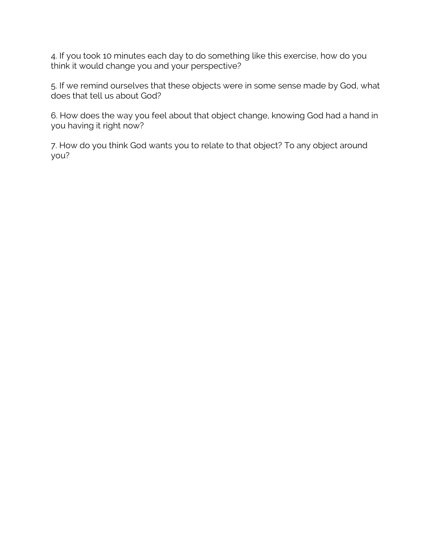4. If you took 10 minutes each day to do something like this exercise, how do you think it would change you and your perspective?

5. If we remind ourselves that these objects were in some sense made by God, what does that tell us about God?

6. How does the way you feel about that object change, knowing God had a hand in you having it right now?

7. How do you think God wants you to relate to that object? To any object around you?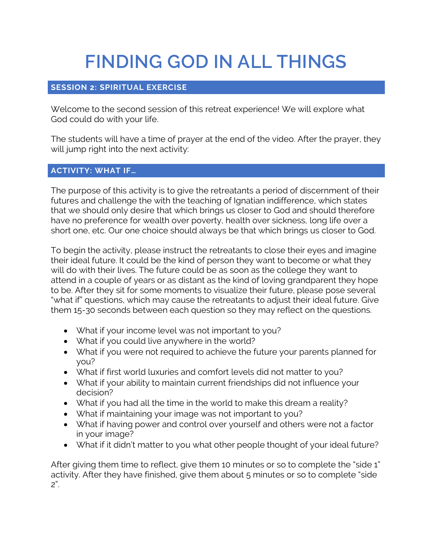# **FINDING GOD IN ALL THINGS**

# **SESSION 2: SPIRITUAL EXERCISE**

Welcome to the second session of this retreat experience! We will explore what God could do with your life.

The students will have a time of prayer at the end of the video. After the prayer, they will jump right into the next activity:

# **ACTIVITY: WHAT IF…**

The purpose of this activity is to give the retreatants a period of discernment of their futures and challenge the with the teaching of Ignatian indifference, which states that we should only desire that which brings us closer to God and should therefore have no preference for wealth over poverty, health over sickness, long life over a short one, etc. Our one choice should always be that which brings us closer to God.

To begin the activity, please instruct the retreatants to close their eyes and imagine their ideal future. It could be the kind of person they want to become or what they will do with their lives. The future could be as soon as the college they want to attend in a couple of years or as distant as the kind of loving grandparent they hope to be. After they sit for some moments to visualize their future, please pose several "what if" questions, which may cause the retreatants to adjust their ideal future. Give them 15-30 seconds between each question so they may reflect on the questions.

- What if your income level was not important to you?
- What if you could live anywhere in the world?
- What if you were not required to achieve the future your parents planned for you?
- What if first world luxuries and comfort levels did not matter to you?
- What if your ability to maintain current friendships did not influence your decision?
- What if you had all the time in the world to make this dream a reality?
- What if maintaining your image was not important to you?
- What if having power and control over yourself and others were not a factor in your image?
- What if it didn't matter to you what other people thought of your ideal future?

After giving them time to reflect, give them 10 minutes or so to complete the "side 1" activity. After they have finished, give them about 5 minutes or so to complete "side 2".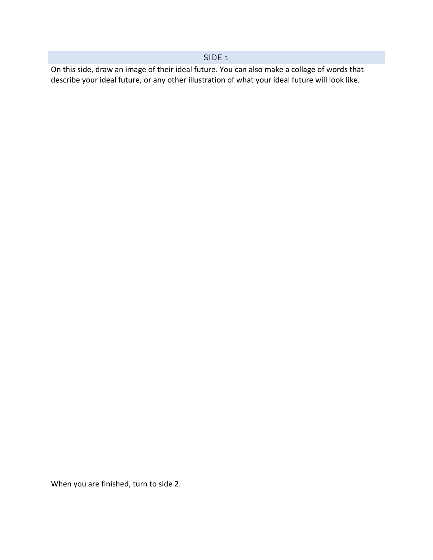## SIDE 1

On this side, draw an image of their ideal future. You can also make a collage of words that describe your ideal future, or any other illustration of what your ideal future will look like.

When you are finished, turn to side 2.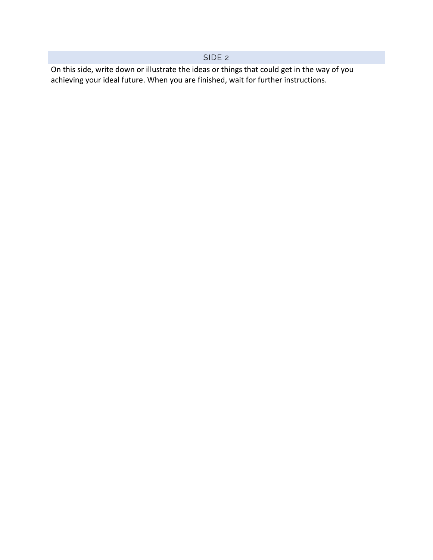## SIDE 2

On this side, write down or illustrate the ideas or things that could get in the way of you achieving your ideal future. When you are finished, wait for further instructions.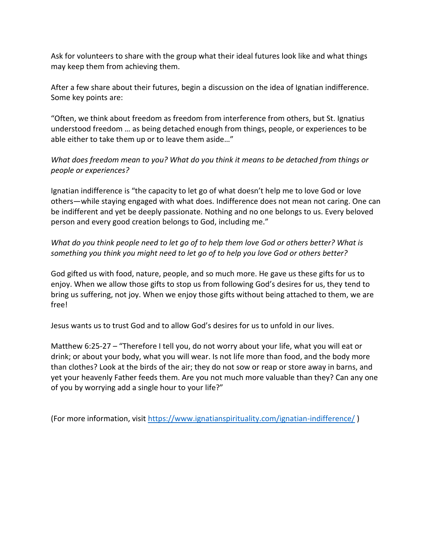Ask for volunteers to share with the group what their ideal futures look like and what things may keep them from achieving them.

After a few share about their futures, begin a discussion on the idea of Ignatian indifference. Some key points are:

"Often, we think about freedom as freedom from interference from others, but St. Ignatius understood freedom … as being detached enough from things, people, or experiences to be able either to take them up or to leave them aside…"

*What does freedom mean to you? What do you think it means to be detached from things or people or experiences?*

Ignatian indifference is "the capacity to let go of what doesn't help me to love God or love others—while staying engaged with what does. Indifference does not mean not caring. One can be indifferent and yet be deeply passionate. Nothing and no one belongs to us. Every beloved person and every good creation belongs to God, including me."

*What do you think people need to let go of to help them love God or others better? What is something you think you might need to let go of to help you love God or others better?*

God gifted us with food, nature, people, and so much more. He gave us these gifts for us to enjoy. When we allow those gifts to stop us from following God's desires for us, they tend to bring us suffering, not joy. When we enjoy those gifts without being attached to them, we are free!

Jesus wants us to trust God and to allow God's desires for us to unfold in our lives.

Matthew 6:25-27 – "Therefore I tell you, do not worry about your life, what you will eat or drink; or about your body, what you will wear. Is not life more than food, and the body more than clothes? Look at the birds of the air; they do not sow or reap or store away in barns, and yet your heavenly Father feeds them. Are you not much more valuable than they? Can any one of you by worrying add a single hour to your life?"

(For more information, visit<https://www.ignatianspirituality.com/ignatian-indifference/> )